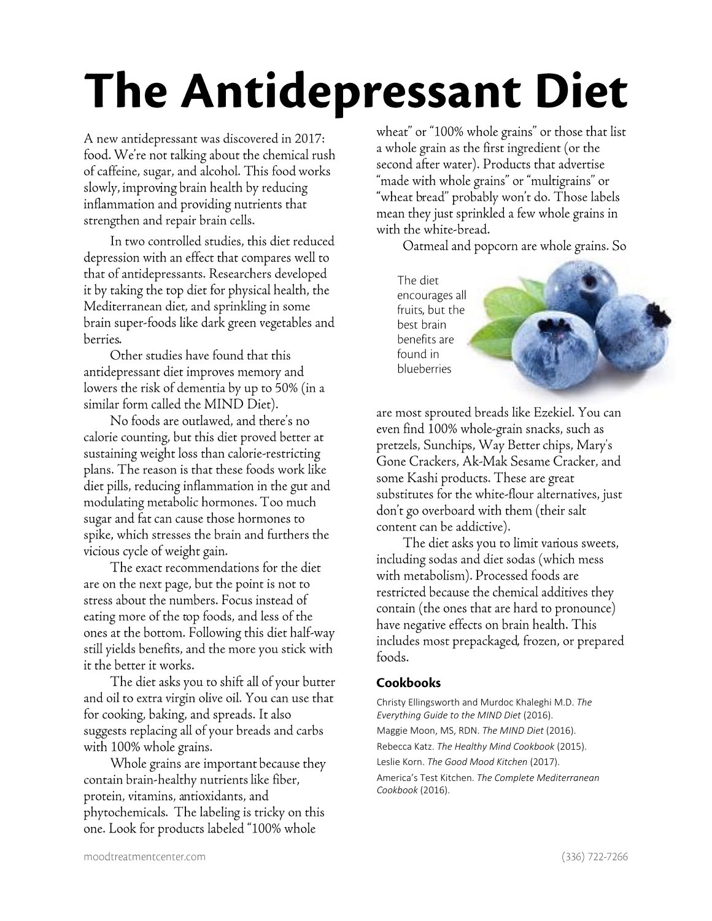## **The Antidepressant Diet**

A new antidepressant was discovered in 2017: food. We're not talking about the chemical rush of caffeine, sugar, and alcohol. This food works slowly, improving brain health by reducing inflammation and providing nutrients that strengthen and repair brain cells.

In two controlled studies, this diet reduced depression with an effect that compares well to that of antidepressants. Researchers developed it by taking the top diet for physical health, the Mediterranean diet, and sprinkling in some brain super-foods like dark green vegetables and berries.

Other studies have found that this antidepressant diet improves memory and lowers the risk of dementia by up to 50% (in a similar form called the MIND Diet).

No foods are outlawed, and there's no calorie counting, but this diet proved better at sustaining weight loss than calorie-restricting plans. The reason is that these foods work like diet pills, reducing inflammation in the gut and modulating metabolic hormones. Too much sugar and fat can cause those hormones to spike, which stresses the brain and furthers the vicious cycle of weight gain.

The exact recommendations for the diet are on the next page, but the point is not to stress about the numbers. Focus instead of eating more of the top foods, and less of the ones at the bottom. Following this diet half-way still yields benefits, and the more you stick with it the better it works.

The diet asks you to shift all of your butter and oil to extra virgin olive oil. You can use that for cooking, baking, and spreads. It also suggests replacing all of your breads and carbs with 100% whole grains.

Whole grains are important because they contain brain-healthy nutrients like fiber, protein, vitamins, antioxidants, and phytochemicals. The labeling is tricky on this one. Look for products labeled "100% whole

wheat" or "100% whole grains" or those that list a whole grain as the first ingredient (or the second after water). Products that advertise "made with whole grains" or "multigrains" or "wheat bread" probably won't do. Those labels mean they just sprinkled a few whole grains in with the white-bread.

Oatmeal and popcorn are whole grains. So

The diet encourages all fruits, but the best brain benefits are found in blueberries



are most sprouted breads like Ezekiel. You can even find 100% whole-grain snacks, such as pretzels, Sunchips, Way Better chips, Mary's Gone Crackers, Ak-Mak Sesame Cracker, and some Kashi products. These are great substitutes for the white-flour alternatives, just don't go overboard with them (their salt content can be addictive).

The diet asks you to limit various sweets, including sodas and diet sodas (which mess with metabolism). Processed foods are restricted because the chemical additives they contain (the ones that are hard to pronounce) have negative effects on brain health. This includes most prepackaged, frozen, or prepared foods.

## Cookbooks

Christy Ellingsworth and Murdoc Khaleghi M.D. The Everything Guide to the MIND Diet (2016). Maggie Moon, MS, RDN. The MIND Diet (2016). Rebecca Katz. The Healthy Mind Cookbook (2015). Leslie Korn. The Good Mood Kitchen (2017). America's Test Kitchen. The Complete Mediterranean Cookbook (2016).